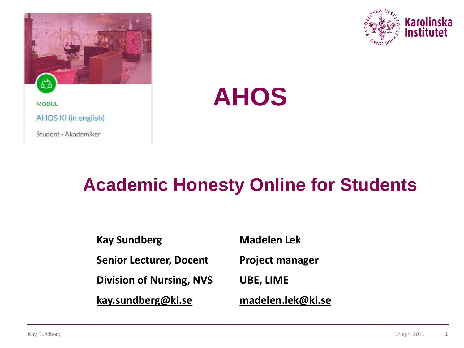



# **AHOS**

## **Academic Honesty Online for Students**

**Kay Sundberg Senior Lecturer, Docent Division of Nursing, NVS [kay.sundberg@ki.se](mailto:kay.Sundberg@ki.se)**

**Madelen Lek**

**Project manager** 

**UBE, LIME**

**[madelen.lek@ki.se](mailto:madelen.lek@ki.se)**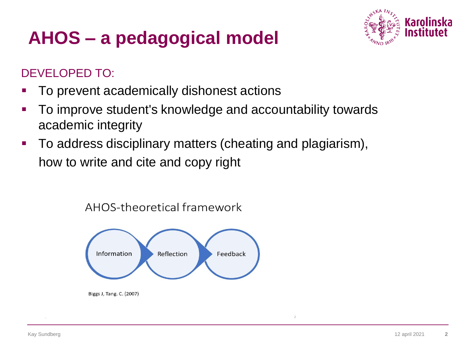## **AHOS – a pedagogical model**



#### DEVELOPED TO:

- To prevent academically dishonest actions
- To improve student's knowledge and accountability towards academic integrity
- **To address disciplinary matters (cheating and plagiarism),** how to write and cite and copy right

AHOS-theoretical framework



Biggs J, Tang. C. (2007)

 $\overline{2}$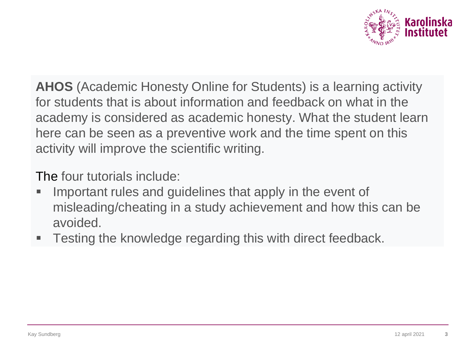

**AHOS** (Academic Honesty Online for Students) is a learning activity for students that is about information and feedback on what in the academy is considered as academic honesty. What the student learn here can be seen as a preventive work and the time spent on this activity will improve the scientific writing.

The four tutorials include:

- Important rules and guidelines that apply in the event of misleading/cheating in a study achievement and how this can be avoided.
- Testing the knowledge regarding this with direct feedback.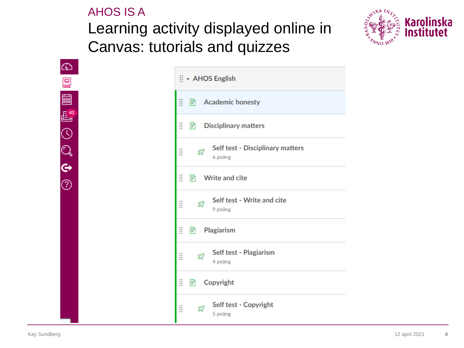### AHOS IS A Learning activity displayed online in Canvas: tutorials and quizzes



 $\mathbb{C}$ 囯 圖  $\mathbb{E}^{41}$  $\odot$  $\mathbb{Q}$  $\ddot{\bm{\epsilon}}$  $\odot$ 

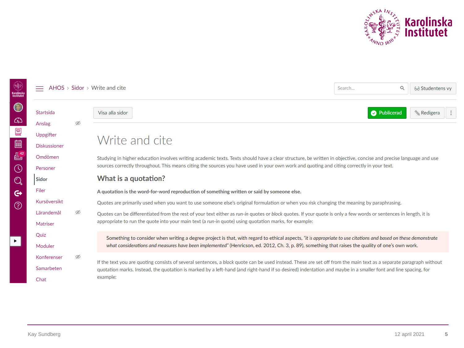

| Karolinska<br>Institutet | $AHOS > Sidor > Write$ and cite                                                                      |                                                                                                                                                                                                                                                                                                               |                                                                                                                                                                                                                                                                                                                                                 | Q<br>Search | 63 Studentens vy |  |
|--------------------------|------------------------------------------------------------------------------------------------------|---------------------------------------------------------------------------------------------------------------------------------------------------------------------------------------------------------------------------------------------------------------------------------------------------------------|-------------------------------------------------------------------------------------------------------------------------------------------------------------------------------------------------------------------------------------------------------------------------------------------------------------------------------------------------|-------------|------------------|--|
| $\bigcirc$<br>෬          | Startsida<br>Anslag                                                                                  | Ø                                                                                                                                                                                                                                                                                                             | Visa alla sidor                                                                                                                                                                                                                                                                                                                                 | Publicerad  | <b>Redigera</b>  |  |
| 冒<br>圖                   | Uppgifter<br><b>Diskussioner</b>                                                                     |                                                                                                                                                                                                                                                                                                               | Write and cite                                                                                                                                                                                                                                                                                                                                  |             |                  |  |
| $E^{42}$<br>$\odot$      | Omdömen<br>Personer                                                                                  | Studying in higher education involves writing academic texts. Texts should have a clear structure, be written in objective, concise and precise language and use<br>sources correctly throughout. This means citing the sources you have used in your own work and quoting and citing correctly in your text. |                                                                                                                                                                                                                                                                                                                                                 |             |                  |  |
| $\mathbb{Q}$             | What is a quotation?<br>Sidor                                                                        |                                                                                                                                                                                                                                                                                                               |                                                                                                                                                                                                                                                                                                                                                 |             |                  |  |
| $\mathfrak{S}$           | Filer<br>A quotation is the word-for-word reproduction of something written or said by someone else. |                                                                                                                                                                                                                                                                                                               |                                                                                                                                                                                                                                                                                                                                                 |             |                  |  |
| $\circledcirc$           | Kursöversikt                                                                                         | Ø                                                                                                                                                                                                                                                                                                             | Quotes are primarily used when you want to use someone else's original formulation or when you risk changing the meaning by paraphrasing.                                                                                                                                                                                                       |             |                  |  |
|                          | Lärandemål                                                                                           |                                                                                                                                                                                                                                                                                                               | Quotes can be differentiated from the rest of your text either as run-in quotes or block quotes. If your quote is only a few words or sentences in length, it is<br>appropriate to run the quote into your main text (a run-in quote) using quotation marks, for example:                                                                       |             |                  |  |
|                          | Matriser                                                                                             |                                                                                                                                                                                                                                                                                                               |                                                                                                                                                                                                                                                                                                                                                 |             |                  |  |
|                          | Quiz                                                                                                 |                                                                                                                                                                                                                                                                                                               | Something to consider when writing a degree project is that, with regard to ethical aspects, "it is appropriate to use citations and based on these demonstrate<br>what considerations and measures have been implemented" (Henricson, ed. 2012, Ch. 3, p. 89), something that raises the quality of one's own work.                            |             |                  |  |
|                          | Moduler                                                                                              |                                                                                                                                                                                                                                                                                                               |                                                                                                                                                                                                                                                                                                                                                 |             |                  |  |
|                          | Konferenser                                                                                          | Ø                                                                                                                                                                                                                                                                                                             | If the text you are quoting consists of several sentences, a block quote can be used instead. These are set off from the main text as a separate paragraph without<br>quotation marks. Instead, the quotation is marked by a left-hand (and right-hand if so desired) indentation and maybe in a smaller font and line spacing, for<br>example: |             |                  |  |
|                          | Samarbeten                                                                                           |                                                                                                                                                                                                                                                                                                               |                                                                                                                                                                                                                                                                                                                                                 |             |                  |  |
|                          | Chat                                                                                                 |                                                                                                                                                                                                                                                                                                               |                                                                                                                                                                                                                                                                                                                                                 |             |                  |  |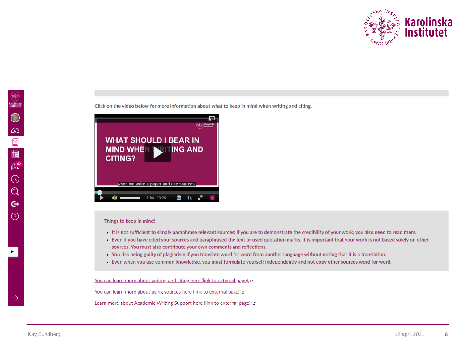

Click on the video below for more information about what to keep in mind when writing and citing.



#### Things to keep in mind!

- It is not sufficient to simply paraphrase relevant sources; if you are to demonstrate the credibility of your work, you also need to read them.
- Even if you have cited your sources and paraphrased the text or used quotation marks, it is important that your work is not based solely on other sources. You must also contribute your own comments and reflections.
- . You risk being guilty of plagiarism if you translate word for word from another language without noting that it is a translation.
- Even when you use common knowledge, you must formulate yourself independently and not copy other sources word for word.

You can learn more about writing and citing here (link to external page). e

You can learn more about using sources here (link to external page). e

Learn more about Academic Writing Support here (link to external page), e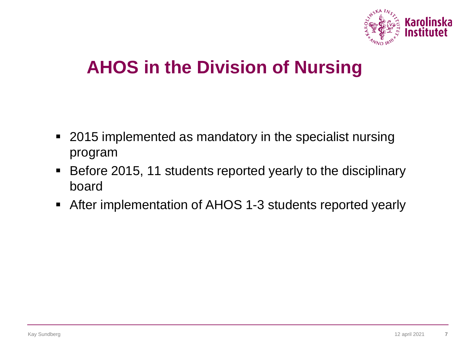

## **AHOS in the Division of Nursing**

- 2015 implemented as mandatory in the specialist nursing program
- Before 2015, 11 students reported yearly to the disciplinary board
- After implementation of AHOS 1-3 students reported yearly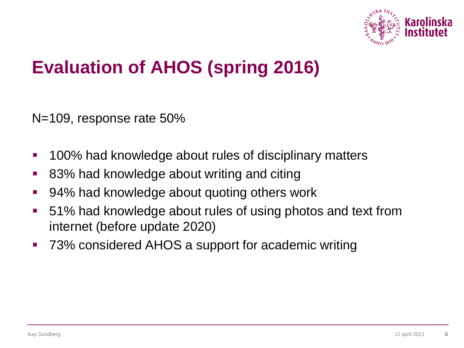

## **Evaluation of AHOS (spring 2016)**

N=109, response rate 50%

- 100% had knowledge about rules of disciplinary matters
- 83% had knowledge about writing and citing
- 94% had knowledge about quoting others work
- 51% had knowledge about rules of using photos and text from internet (before update 2020)
- 73% considered AHOS a support for academic writing